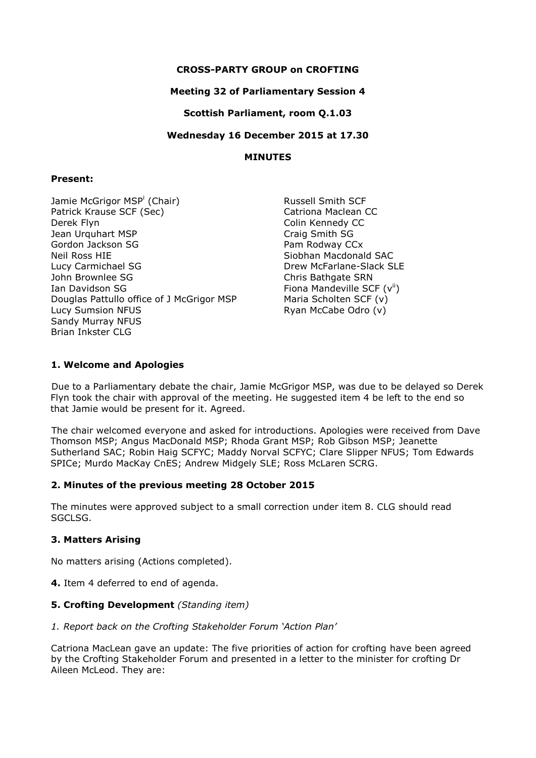## **CROSS-PARTY GROUP on CROFTING**

### **Meeting 32 of Parliamentary Session 4**

**Scottish Parliament, room Q.1.03**

**Wednesday 16 December 2015 at 17.30**

### **MINUTES**

### **Present:**

Jamie McGrigor MSP<sup>i</sup> (Chair) Patrick Krause SCF (Sec) Derek Flyn Jean Urquhart MSP Gordon Jackson SG Neil Ross HIE Lucy Carmichael SG John Brownlee SG Ian Davidson SG Douglas Pattullo office of J McGrigor MSP Lucy Sumsion NFUS Sandy Murray NFUS Brian Inkster CLG

Russell Smith SCF Catriona Maclean CC Colin Kennedy CC Craig Smith SG Pam Rodway CCx Siobhan Macdonald SAC Drew McFarlane-Slack SLE Chris Bathgate SRN Fiona Mandeville SCF  $(v^{ii})$ Maria Scholten SCF (v) Ryan McCabe Odro (v)

# **1. Welcome and Apologies**

Due to a Parliamentary debate the chair, Jamie McGrigor MSP, was due to be delayed so Derek Flyn took the chair with approval of the meeting. He suggested item 4 be left to the end so that Jamie would be present for it. Agreed.

The chair welcomed everyone and asked for introductions. Apologies were received from Dave Thomson MSP; Angus MacDonald MSP; Rhoda Grant MSP; Rob Gibson MSP; Jeanette Sutherland SAC; Robin Haig SCFYC; Maddy Norval SCFYC; Clare Slipper NFUS; Tom Edwards SPICe; Murdo MacKay CnES; Andrew Midgely SLE; Ross McLaren SCRG.

#### **2. Minutes of the previous meeting 28 October 2015**

The minutes were approved subject to a small correction under item 8. CLG should read SGCLSG.

# **3. Matters Arising**

No matters arising (Actions completed).

**4.** Item 4 deferred to end of agenda.

### **5. Crofting Development** *(Standing item)*

*1. Report back on the Crofting Stakeholder Forum 'Action Plan'*

Catriona MacLean gave an update: The five priorities of action for crofting have been agreed by the Crofting Stakeholder Forum and presented in a letter to the minister for crofting Dr Aileen McLeod. They are: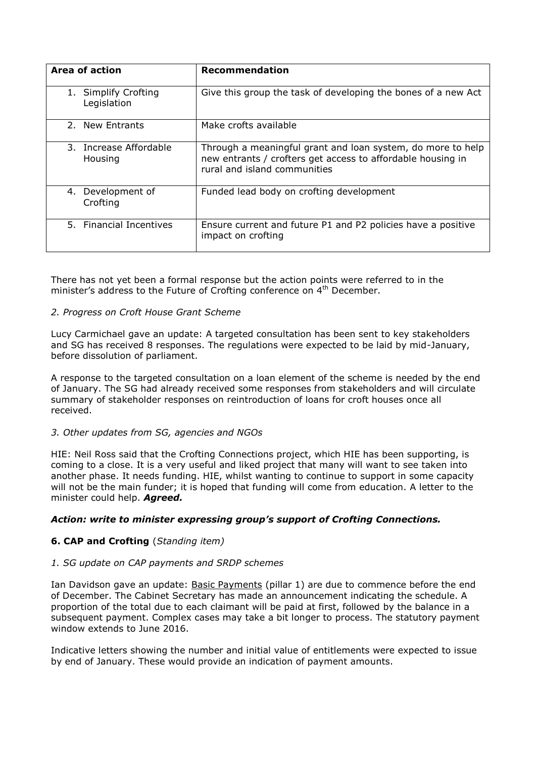| Area of action                      | <b>Recommendation</b>                                                                                                                                      |
|-------------------------------------|------------------------------------------------------------------------------------------------------------------------------------------------------------|
| 1. Simplify Crofting<br>Legislation | Give this group the task of developing the bones of a new Act                                                                                              |
| 2. New Entrants                     | Make crofts available                                                                                                                                      |
| 3. Increase Affordable<br>Housing   | Through a meaningful grant and loan system, do more to help<br>new entrants / crofters get access to affordable housing in<br>rural and island communities |
| 4. Development of<br>Crofting       | Funded lead body on crofting development                                                                                                                   |
| 5. Financial Incentives             | Ensure current and future P1 and P2 policies have a positive<br>impact on crofting                                                                         |

There has not yet been a formal response but the action points were referred to in the minister's address to the Future of Crofting conference on 4<sup>th</sup> December.

#### *2. Progress on Croft House Grant Scheme*

Lucy Carmichael gave an update: A targeted consultation has been sent to key stakeholders and SG has received 8 responses. The regulations were expected to be laid by mid-January, before dissolution of parliament.

A response to the targeted consultation on a loan element of the scheme is needed by the end of January. The SG had already received some responses from stakeholders and will circulate summary of stakeholder responses on reintroduction of loans for croft houses once all received.

#### *3. Other updates from SG, agencies and NGOs*

HIE: Neil Ross said that the Crofting Connections project, which HIE has been supporting, is coming to a close. It is a very useful and liked project that many will want to see taken into another phase. It needs funding. HIE, whilst wanting to continue to support in some capacity will not be the main funder; it is hoped that funding will come from education. A letter to the minister could help. *Agreed.*

#### *Action: write to minister expressing group's support of Crofting Connections.*

# **6. CAP and Crofting** (*Standing item)*

#### *1. SG update on CAP payments and SRDP schemes*

Ian Davidson gave an update: Basic Payments (pillar 1) are due to commence before the end of December. The Cabinet Secretary has made an announcement indicating the schedule. A proportion of the total due to each claimant will be paid at first, followed by the balance in a subsequent payment. Complex cases may take a bit longer to process. The statutory payment window extends to June 2016.

Indicative letters showing the number and initial value of entitlements were expected to issue by end of January. These would provide an indication of payment amounts.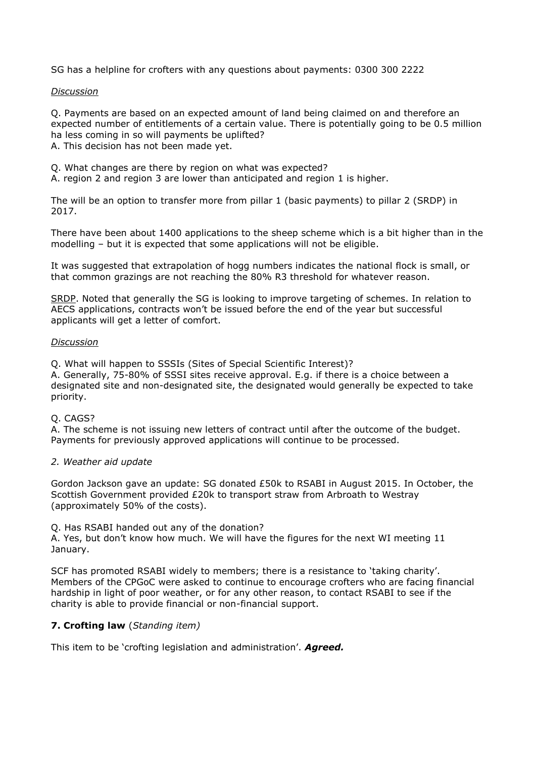SG has a helpline for crofters with any questions about payments: 0300 300 2222

#### *Discussion*

Q. Payments are based on an expected amount of land being claimed on and therefore an expected number of entitlements of a certain value. There is potentially going to be 0.5 million ha less coming in so will payments be uplifted?

A. This decision has not been made yet.

Q. What changes are there by region on what was expected?

A. region 2 and region 3 are lower than anticipated and region 1 is higher.

The will be an option to transfer more from pillar 1 (basic payments) to pillar 2 (SRDP) in 2017.

There have been about 1400 applications to the sheep scheme which is a bit higher than in the modelling – but it is expected that some applications will not be eligible.

It was suggested that extrapolation of hogg numbers indicates the national flock is small, or that common grazings are not reaching the 80% R3 threshold for whatever reason.

SRDP. Noted that generally the SG is looking to improve targeting of schemes. In relation to AECS applications, contracts won't be issued before the end of the year but successful applicants will get a letter of comfort.

#### *Discussion*

Q. What will happen to SSSIs (Sites of Special Scientific Interest)?

A. Generally, 75-80% of SSSI sites receive approval. E.g. if there is a choice between a designated site and non-designated site, the designated would generally be expected to take priority.

#### Q. CAGS?

A. The scheme is not issuing new letters of contract until after the outcome of the budget. Payments for previously approved applications will continue to be processed.

#### *2. Weather aid update*

Gordon Jackson gave an update: SG donated £50k to RSABI in August 2015. In October, the Scottish Government provided £20k to transport straw from Arbroath to Westray (approximately 50% of the costs).

Q. Has RSABI handed out any of the donation?

A. Yes, but don't know how much. We will have the figures for the next WI meeting 11 January.

SCF has promoted RSABI widely to members; there is a resistance to 'taking charity'. Members of the CPGoC were asked to continue to encourage crofters who are facing financial hardship in light of poor weather, or for any other reason, to contact RSABI to see if the charity is able to provide financial or non-financial support.

# **7. Crofting law** (*Standing item)*

This item to be 'crofting legislation and administration'. *Agreed.*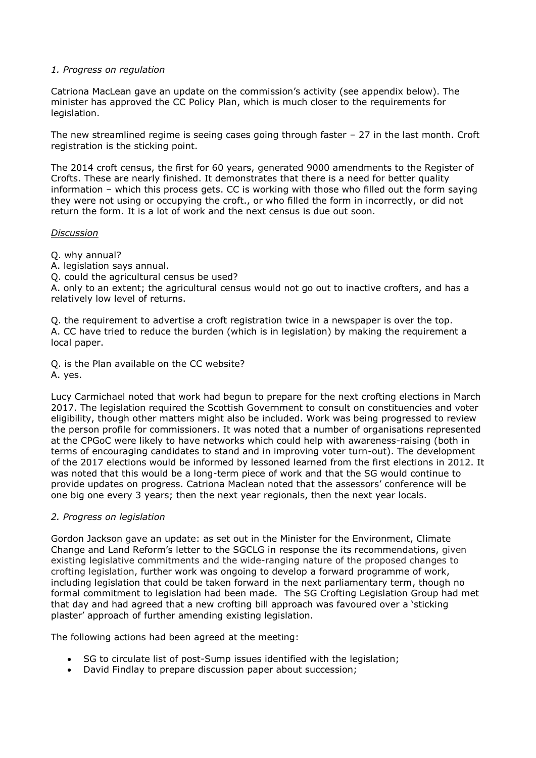### *1. Progress on regulation*

Catriona MacLean gave an update on the commission's activity (see appendix below). The minister has approved the CC Policy Plan, which is much closer to the requirements for legislation.

The new streamlined regime is seeing cases going through faster – 27 in the last month. Croft registration is the sticking point.

The 2014 croft census, the first for 60 years, generated 9000 amendments to the Register of Crofts. These are nearly finished. It demonstrates that there is a need for better quality information – which this process gets. CC is working with those who filled out the form saying they were not using or occupying the croft., or who filled the form in incorrectly, or did not return the form. It is a lot of work and the next census is due out soon.

#### *Discussion*

- Q. why annual?
- A. legislation says annual.
- Q. could the agricultural census be used?

A. only to an extent; the agricultural census would not go out to inactive crofters, and has a relatively low level of returns.

Q. the requirement to advertise a croft registration twice in a newspaper is over the top. A. CC have tried to reduce the burden (which is in legislation) by making the requirement a local paper.

Q. is the Plan available on the CC website? A. yes.

Lucy Carmichael noted that work had begun to prepare for the next crofting elections in March 2017. The legislation required the Scottish Government to consult on constituencies and voter eligibility, though other matters might also be included. Work was being progressed to review the person profile for commissioners. It was noted that a number of organisations represented at the CPGoC were likely to have networks which could help with awareness-raising (both in terms of encouraging candidates to stand and in improving voter turn-out). The development of the 2017 elections would be informed by lessoned learned from the first elections in 2012. It was noted that this would be a long-term piece of work and that the SG would continue to provide updates on progress. Catriona Maclean noted that the assessors' conference will be one big one every 3 years; then the next year regionals, then the next year locals.

#### *2. Progress on legislation*

Gordon Jackson gave an update: as set out in the Minister for the Environment, Climate Change and Land Reform's letter to the SGCLG in response the its recommendations, given existing legislative commitments and the wide-ranging nature of the proposed changes to crofting legislation, further work was ongoing to develop a forward programme of work, including legislation that could be taken forward in the next parliamentary term, though no formal commitment to legislation had been made. The SG Crofting Legislation Group had met that day and had agreed that a new crofting bill approach was favoured over a 'sticking plaster' approach of further amending existing legislation.

The following actions had been agreed at the meeting:

- SG to circulate list of post-Sump issues identified with the legislation;
- David Findlay to prepare discussion paper about succession;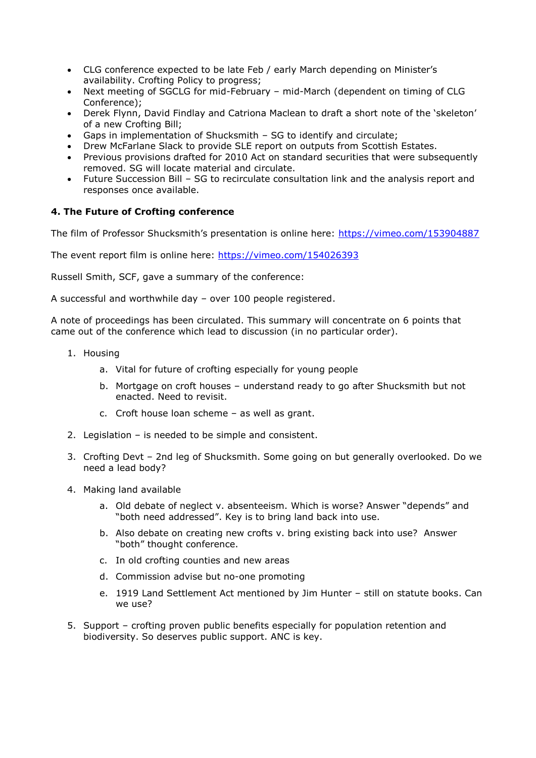- CLG conference expected to be late Feb / early March depending on Minister's availability. Crofting Policy to progress;
- Next meeting of SGCLG for mid-February mid-March (dependent on timing of CLG Conference);
- Derek Flynn, David Findlay and Catriona Maclean to draft a short note of the 'skeleton' of a new Crofting Bill;
- Gaps in implementation of Shucksmith SG to identify and circulate;
- Drew McFarlane Slack to provide SLE report on outputs from Scottish Estates.
- Previous provisions drafted for 2010 Act on standard securities that were subsequently removed. SG will locate material and circulate.
- Future Succession Bill SG to recirculate consultation link and the analysis report and responses once available.

# **4. The Future of Crofting conference**

The film of Professor Shucksmith's presentation is online here: <https://vimeo.com/153904887>

The event report film is online here:<https://vimeo.com/154026393>

Russell Smith, SCF, gave a summary of the conference:

A successful and worthwhile day – over 100 people registered.

A note of proceedings has been circulated. This summary will concentrate on 6 points that came out of the conference which lead to discussion (in no particular order).

- 1. Housing
	- a. Vital for future of crofting especially for young people
	- b. Mortgage on croft houses understand ready to go after Shucksmith but not enacted. Need to revisit.
	- c. Croft house loan scheme as well as grant.
- 2. Legislation is needed to be simple and consistent.
- 3. Crofting Devt 2nd leg of Shucksmith. Some going on but generally overlooked. Do we need a lead body?
- 4. Making land available
	- a. Old debate of neglect v. absenteeism. Which is worse? Answer "depends" and "both need addressed". Key is to bring land back into use.
	- b. Also debate on creating new crofts v. bring existing back into use? Answer "both" thought conference.
	- c. In old crofting counties and new areas
	- d. Commission advise but no-one promoting
	- e. 1919 Land Settlement Act mentioned by Jim Hunter still on statute books. Can we use?
- 5. Support crofting proven public benefits especially for population retention and biodiversity. So deserves public support. ANC is key.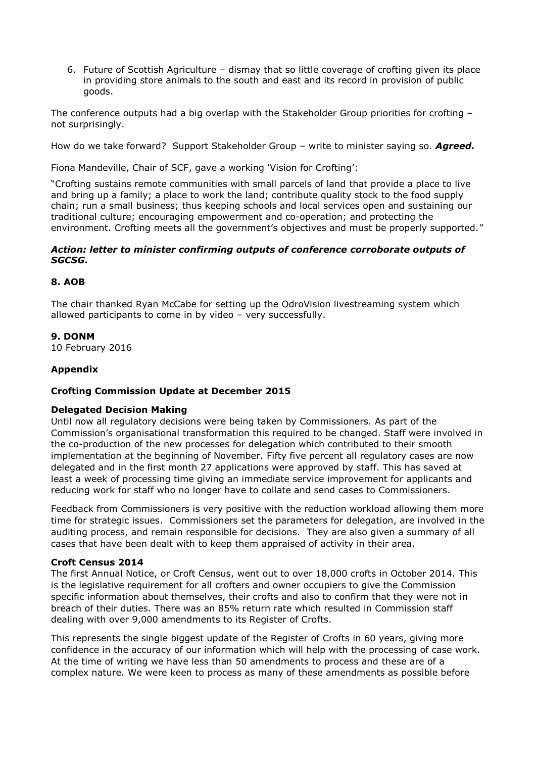6. Future of Scottish Agriculture – dismay that so little coverage of crofting given its place in providing store animals to the south and east and its record in provision of public goods.

The conference outputs had a big overlap with the Stakeholder Group priorities for crofting – not surprisingly.

How do we take forward? Support Stakeholder Group – write to minister saying so. *Agreed.*

Fiona Mandeville, Chair of SCF, gave a working 'Vision for Crofting':

"Crofting sustains remote communities with small parcels of land that provide a place to live and bring up a family; a place to work the land; contribute quality stock to the food supply chain; run a small business; thus keeping schools and local services open and sustaining our traditional culture; encouraging empowerment and co-operation; and protecting the environment. Crofting meets all the government's objectives and must be properly supported."

### *Action: letter to minister confirming outputs of conference corroborate outputs of SGCSG.*

### **8. AOB**

The chair thanked Ryan McCabe for setting up the OdroVision livestreaming system which allowed participants to come in by video – very successfully.

### **9. DONM**

10 February 2016

# **Appendix**

#### **Crofting Commission Update at December 2015**

#### **Delegated Decision Making**

Until now all regulatory decisions were being taken by Commissioners. As part of the Commission's organisational transformation this required to be changed. Staff were involved in the co-production of the new processes for delegation which contributed to their smooth implementation at the beginning of November. Fifty five percent all regulatory cases are now delegated and in the first month 27 applications were approved by staff. This has saved at least a week of processing time giving an immediate service improvement for applicants and reducing work for staff who no longer have to collate and send cases to Commissioners.

Feedback from Commissioners is very positive with the reduction workload allowing them more time for strategic issues. Commissioners set the parameters for delegation, are involved in the auditing process, and remain responsible for decisions. They are also given a summary of all cases that have been dealt with to keep them appraised of activity in their area.

#### **Croft Census 2014**

The first Annual Notice, or Croft Census, went out to over 18,000 crofts in October 2014. This is the legislative requirement for all crofters and owner occupiers to give the Commission specific information about themselves, their crofts and also to confirm that they were not in breach of their duties. There was an 85% return rate which resulted in Commission staff dealing with over 9,000 amendments to its Register of Crofts.

This represents the single biggest update of the Register of Crofts in 60 years, giving more confidence in the accuracy of our information which will help with the processing of case work. At the time of writing we have less than 50 amendments to process and these are of a complex nature. We were keen to process as many of these amendments as possible before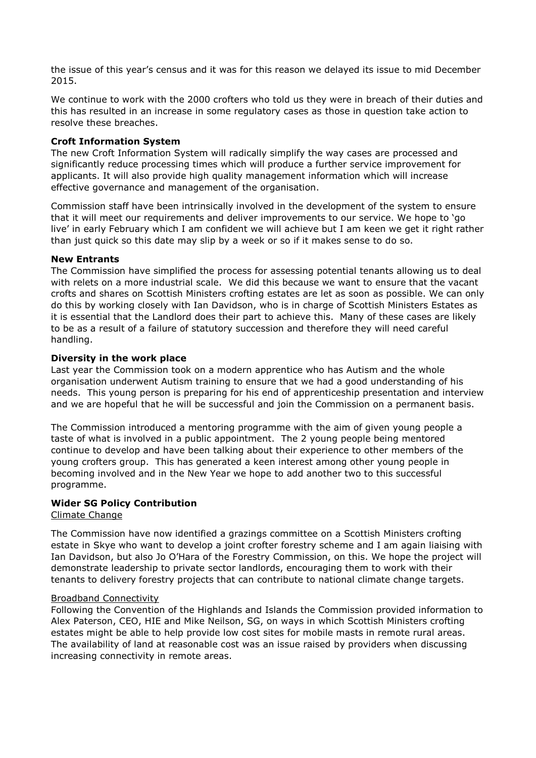the issue of this year's census and it was for this reason we delayed its issue to mid December 2015.

We continue to work with the 2000 crofters who told us they were in breach of their duties and this has resulted in an increase in some regulatory cases as those in question take action to resolve these breaches.

## **Croft Information System**

The new Croft Information System will radically simplify the way cases are processed and significantly reduce processing times which will produce a further service improvement for applicants. It will also provide high quality management information which will increase effective governance and management of the organisation.

Commission staff have been intrinsically involved in the development of the system to ensure that it will meet our requirements and deliver improvements to our service. We hope to 'go live' in early February which I am confident we will achieve but I am keen we get it right rather than just quick so this date may slip by a week or so if it makes sense to do so.

### **New Entrants**

The Commission have simplified the process for assessing potential tenants allowing us to deal with relets on a more industrial scale. We did this because we want to ensure that the vacant crofts and shares on Scottish Ministers crofting estates are let as soon as possible. We can only do this by working closely with Ian Davidson, who is in charge of Scottish Ministers Estates as it is essential that the Landlord does their part to achieve this. Many of these cases are likely to be as a result of a failure of statutory succession and therefore they will need careful handling.

### **Diversity in the work place**

Last year the Commission took on a modern apprentice who has Autism and the whole organisation underwent Autism training to ensure that we had a good understanding of his needs. This young person is preparing for his end of apprenticeship presentation and interview and we are hopeful that he will be successful and join the Commission on a permanent basis.

The Commission introduced a mentoring programme with the aim of given young people a taste of what is involved in a public appointment. The 2 young people being mentored continue to develop and have been talking about their experience to other members of the young crofters group. This has generated a keen interest among other young people in becoming involved and in the New Year we hope to add another two to this successful programme.

# **Wider SG Policy Contribution**

#### Climate Change

The Commission have now identified a grazings committee on a Scottish Ministers crofting estate in Skye who want to develop a joint crofter forestry scheme and I am again liaising with Ian Davidson, but also Jo O'Hara of the Forestry Commission, on this. We hope the project will demonstrate leadership to private sector landlords, encouraging them to work with their tenants to delivery forestry projects that can contribute to national climate change targets.

#### Broadband Connectivity

Following the Convention of the Highlands and Islands the Commission provided information to Alex Paterson, CEO, HIE and Mike Neilson, SG, on ways in which Scottish Ministers crofting estates might be able to help provide low cost sites for mobile masts in remote rural areas. The availability of land at reasonable cost was an issue raised by providers when discussing increasing connectivity in remote areas.